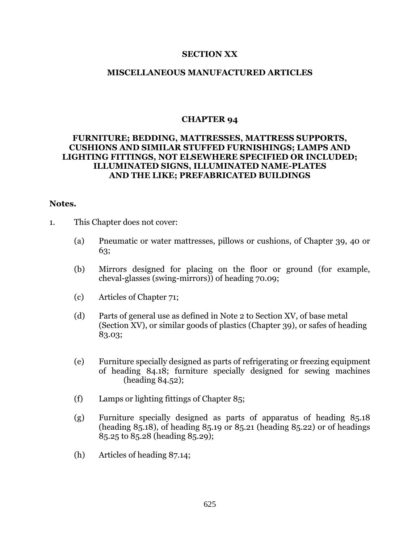## **SECTION XX**

## **MISCELLANEOUS MANUFACTURED ARTICLES**

## **CHAPTER 94**

# **FURNITURE; BEDDING, MATTRESSES, MATTRESS SUPPORTS, CUSHIONS AND SIMILAR STUFFED FURNISHINGS; LAMPS AND LIGHTING FITTINGS, NOT ELSEWHERE SPECIFIED OR INCLUDED; ILLUMINATED SIGNS, ILLUMINATED NAME-PLATES AND THE LIKE; PREFABRICATED BUILDINGS**

## **Notes.**

- 1. This Chapter does not cover:
	- (a) Pneumatic or water mattresses, pillows or cushions, of Chapter 39, 40 or 63;
	- (b) Mirrors designed for placing on the floor or ground (for example, cheval-glasses (swing-mirrors)) of heading 70.09;
	- (c) Articles of Chapter 71;
	- (d) Parts of general use as defined in Note 2 to Section XV, of base metal (Section XV), or similar goods of plastics (Chapter 39), or safes of heading 83.03;
	- (e) Furniture specially designed as parts of refrigerating or freezing equipment of heading 84.18; furniture specially designed for sewing machines (heading 84.52);
	- (f) Lamps or lighting fittings of Chapter 85;
	- (g) Furniture specially designed as parts of apparatus of heading 85.18 (heading 85.18), of heading 85.19 or 85.21 (heading 85.22) or of headings 85.25 to 85.28 (heading 85.29);
	- (h) Articles of heading 87.14;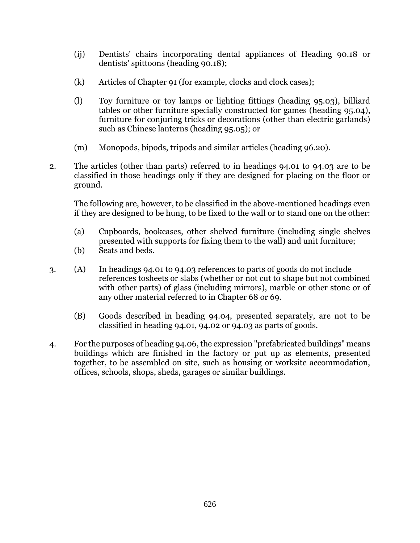- (ij) Dentists' chairs incorporating dental appliances of Heading 90.18 or dentists' spittoons (heading 90.18);
- (k) Articles of Chapter 91 (for example, clocks and clock cases);
- (l) Toy furniture or toy lamps or lighting fittings (heading 95.03), billiard tables or other furniture specially constructed for games (heading 95.04), furniture for conjuring tricks or decorations (other than electric garlands) such as Chinese lanterns (heading 95.05); or
- (m) Monopods, bipods, tripods and similar articles (heading 96.20).
- 2. The articles (other than parts) referred to in headings 94.01 to 94.03 are to be classified in those headings only if they are designed for placing on the floor or ground.

The following are, however, to be classified in the above-mentioned headings even if they are designed to be hung, to be fixed to the wall or to stand one on the other:

- (a) Cupboards, bookcases, other shelved furniture (including single shelves presented with supports for fixing them to the wall) and unit furniture;
- (b) Seats and beds.
- 3. (A) In headings 94.01 to 94.03 references to parts of goods do not include references tosheets or slabs (whether or not cut to shape but not combined with other parts) of glass (including mirrors), marble or other stone or of any other material referred to in Chapter 68 or 69.
	- (B) Goods described in heading 94.04, presented separately, are not to be classified in heading 94.01, 94.02 or 94.03 as parts of goods.
- 4. For the purposes of heading 94.06, the expression "prefabricated buildings" means buildings which are finished in the factory or put up as elements, presented together, to be assembled on site, such as housing or worksite accommodation, offices, schools, shops, sheds, garages or similar buildings.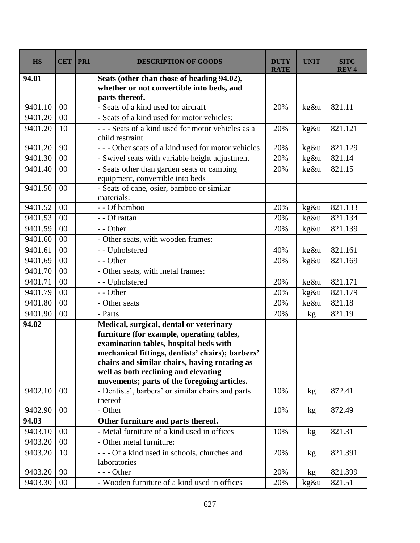| <b>HS</b> | <b>CET</b>     | PR1 | <b>DESCRIPTION OF GOODS</b>                                                                                                                                                                                                                                                                                                | <b>DUTY</b><br><b>RATE</b> | <b>UNIT</b> | <b>SITC</b><br><b>REV4</b> |
|-----------|----------------|-----|----------------------------------------------------------------------------------------------------------------------------------------------------------------------------------------------------------------------------------------------------------------------------------------------------------------------------|----------------------------|-------------|----------------------------|
| 94.01     |                |     | Seats (other than those of heading 94.02),<br>whether or not convertible into beds, and                                                                                                                                                                                                                                    |                            |             |                            |
| 9401.10   | 0 <sup>0</sup> |     | parts thereof.<br>- Seats of a kind used for aircraft                                                                                                                                                                                                                                                                      | 20%                        | kg&u        | 821.11                     |
| 9401.20   | 00             |     | - Seats of a kind used for motor vehicles:                                                                                                                                                                                                                                                                                 |                            |             |                            |
| 9401.20   | 10             |     | --- Seats of a kind used for motor vehicles as a<br>child restraint                                                                                                                                                                                                                                                        | 20%                        | kg&u        | 821.121                    |
| 9401.20   | 90             |     | --- Other seats of a kind used for motor vehicles                                                                                                                                                                                                                                                                          | 20%                        | kg&u        | 821.129                    |
| 9401.30   | 00             |     | - Swivel seats with variable height adjustment                                                                                                                                                                                                                                                                             | 20%                        | kg&u        | 821.14                     |
| 9401.40   | 00             |     | - Seats other than garden seats or camping<br>equipment, convertible into beds                                                                                                                                                                                                                                             | 20%                        | kg&u        | 821.15                     |
| 9401.50   | 00             |     | - Seats of cane, osier, bamboo or similar<br>materials:                                                                                                                                                                                                                                                                    |                            |             |                            |
| 9401.52   | 00             |     | - - Of bamboo                                                                                                                                                                                                                                                                                                              | 20%                        | kg&u        | 821.133                    |
| 9401.53   | 00             |     | - - Of rattan                                                                                                                                                                                                                                                                                                              | 20%                        | kg&u        | 821.134                    |
| 9401.59   | 00             |     | - - Other                                                                                                                                                                                                                                                                                                                  | 20%                        | kg&u        | 821.139                    |
| 9401.60   | 00             |     | - Other seats, with wooden frames:                                                                                                                                                                                                                                                                                         |                            |             |                            |
| 9401.61   | 00             |     | - - Upholstered                                                                                                                                                                                                                                                                                                            | 40%                        | kg&u        | 821.161                    |
| 9401.69   | 00             |     | - - Other                                                                                                                                                                                                                                                                                                                  | 20%                        | kg&u        | 821.169                    |
| 9401.70   | 00             |     | - Other seats, with metal frames:                                                                                                                                                                                                                                                                                          |                            |             |                            |
| 9401.71   | 00             |     | - - Upholstered                                                                                                                                                                                                                                                                                                            | 20%                        | kg&u        | 821.171                    |
| 9401.79   | 00             |     | - - Other                                                                                                                                                                                                                                                                                                                  | 20%                        | kg&u        | 821.179                    |
| 9401.80   | 00             |     | - Other seats                                                                                                                                                                                                                                                                                                              | 20%                        | kg&u        | 821.18                     |
| 9401.90   | 00             |     | - Parts                                                                                                                                                                                                                                                                                                                    | 20%                        | kg          | 821.19                     |
| 94.02     |                |     | Medical, surgical, dental or veterinary<br>furniture (for example, operating tables,<br>examination tables, hospital beds with<br>mechanical fittings, dentists' chairs); barbers'<br>chairs and similar chairs, having rotating as<br>well as both reclining and elevating<br>movements; parts of the foregoing articles. |                            |             |                            |
| 9402.10   | 00             |     | - Dentists', barbers' or similar chairs and parts<br>thereof                                                                                                                                                                                                                                                               | 10%                        | kg          | 872.41                     |
| 9402.90   | 00             |     | - Other                                                                                                                                                                                                                                                                                                                    | 10%                        | kg          | 872.49                     |
| 94.03     |                |     | Other furniture and parts thereof.                                                                                                                                                                                                                                                                                         |                            |             |                            |
| 9403.10   | 00             |     | - Metal furniture of a kind used in offices                                                                                                                                                                                                                                                                                | 10%                        | kg          | 821.31                     |
| 9403.20   | $00\,$         |     | - Other metal furniture:                                                                                                                                                                                                                                                                                                   |                            |             |                            |
| 9403.20   | 10             |     | --- Of a kind used in schools, churches and<br>laboratories                                                                                                                                                                                                                                                                | 20%                        | kg          | 821.391                    |
| 9403.20   | 90             |     | $--$ Other                                                                                                                                                                                                                                                                                                                 | 20%                        | kg          | 821.399                    |
| 9403.30   | $00\,$         |     | - Wooden furniture of a kind used in offices                                                                                                                                                                                                                                                                               | 20%                        | kg&u        | 821.51                     |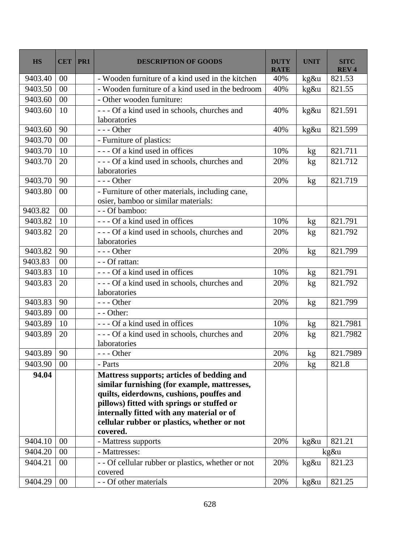| <b>HS</b> | <b>CET</b> | PR1 | <b>DESCRIPTION OF GOODS</b>                                                                                                                                                                                                                                                                   | <b>DUTY</b><br><b>RATE</b> | <b>UNIT</b> | <b>SITC</b><br><b>REV4</b> |
|-----------|------------|-----|-----------------------------------------------------------------------------------------------------------------------------------------------------------------------------------------------------------------------------------------------------------------------------------------------|----------------------------|-------------|----------------------------|
| 9403.40   | 00         |     | - Wooden furniture of a kind used in the kitchen                                                                                                                                                                                                                                              | 40%                        | kg&u        | 821.53                     |
| 9403.50   | 00         |     | - Wooden furniture of a kind used in the bedroom                                                                                                                                                                                                                                              | 40%                        | kg&u        | 821.55                     |
| 9403.60   | 00         |     | - Other wooden furniture:                                                                                                                                                                                                                                                                     |                            |             |                            |
| 9403.60   | 10         |     | --- Of a kind used in schools, churches and<br>laboratories                                                                                                                                                                                                                                   | 40%                        | kg&u        | 821.591                    |
| 9403.60   | 90         |     | $--$ Other                                                                                                                                                                                                                                                                                    | 40%                        | kg&u        | 821.599                    |
| 9403.70   | 00         |     | - Furniture of plastics:                                                                                                                                                                                                                                                                      |                            |             |                            |
| 9403.70   | 10         |     | --- Of a kind used in offices                                                                                                                                                                                                                                                                 | 10%                        | kg          | 821.711                    |
| 9403.70   | 20         |     | --- Of a kind used in schools, churches and<br>laboratories                                                                                                                                                                                                                                   | 20%                        | kg          | 821.712                    |
| 9403.70   | 90         |     | $--$ Other                                                                                                                                                                                                                                                                                    | 20%                        | kg          | 821.719                    |
| 9403.80   | 00         |     | - Furniture of other materials, including cane,<br>osier, bamboo or similar materials:                                                                                                                                                                                                        |                            |             |                            |
| 9403.82   | 00         |     | - - Of bamboo:                                                                                                                                                                                                                                                                                |                            |             |                            |
| 9403.82   | 10         |     | --- Of a kind used in offices                                                                                                                                                                                                                                                                 | 10%                        | kg          | 821.791                    |
| 9403.82   | 20         |     | --- Of a kind used in schools, churches and<br>laboratories                                                                                                                                                                                                                                   | 20%                        | kg          | 821.792                    |
| 9403.82   | 90         |     | --- Other                                                                                                                                                                                                                                                                                     | 20%                        | kg          | 821.799                    |
| 9403.83   | 00         |     | - - Of rattan:                                                                                                                                                                                                                                                                                |                            |             |                            |
| 9403.83   | 10         |     | --- Of a kind used in offices                                                                                                                                                                                                                                                                 | 10%                        | kg          | 821.791                    |
| 9403.83   | 20         |     | --- Of a kind used in schools, churches and<br>laboratories                                                                                                                                                                                                                                   | 20%                        | kg          | 821.792                    |
| 9403.83   | 90         |     | $--$ Other                                                                                                                                                                                                                                                                                    | 20%                        | kg          | 821.799                    |
| 9403.89   | 00         |     | - - Other:                                                                                                                                                                                                                                                                                    |                            |             |                            |
| 9403.89   | 10         |     | --- Of a kind used in offices                                                                                                                                                                                                                                                                 | 10%                        | kg          | 821.7981                   |
| 9403.89   | 20         |     | --- Of a kind used in schools, churches and<br>laboratories                                                                                                                                                                                                                                   | 20%                        | kg          | 821.7982                   |
| 9403.89   | 90         |     | $--$ Other                                                                                                                                                                                                                                                                                    | 20%                        | kg          | 821.7989                   |
| 9403.90   | $00\,$     |     | - Parts                                                                                                                                                                                                                                                                                       | 20%                        | kg          | 821.8                      |
| 94.04     |            |     | Mattress supports; articles of bedding and<br>similar furnishing (for example, mattresses,<br>quilts, eiderdowns, cushions, pouffes and<br>pillows) fitted with springs or stuffed or<br>internally fitted with any material or of<br>cellular rubber or plastics, whether or not<br>covered. |                            |             |                            |
| 9404.10   | $00\,$     |     | - Mattress supports                                                                                                                                                                                                                                                                           | 20%                        | kg&u        | 821.21                     |
| 9404.20   | 00         |     | - Mattresses:                                                                                                                                                                                                                                                                                 |                            | kg&u        |                            |
| 9404.21   | $00\,$     |     | - - Of cellular rubber or plastics, whether or not<br>covered                                                                                                                                                                                                                                 | 20%                        | $kg\&u$     | 821.23                     |
| 9404.29   | $00\,$     |     | - - Of other materials                                                                                                                                                                                                                                                                        | 20%                        | kg&u        | 821.25                     |